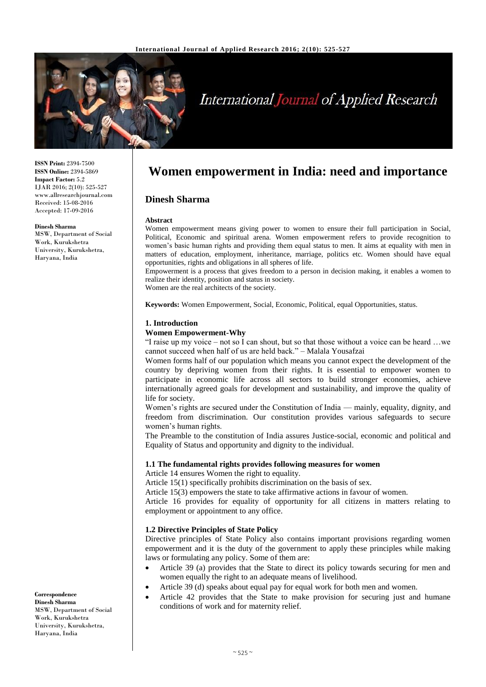

# **International Journal of Applied Research**

**ISSN Print:** 2394-7500 **ISSN Online:** 2394-5869 **Impact Factor:** 5.2 IJAR 2016; 2(10): 525-527 www.allresearchjournal.com Received: 15-08-2016 Accepted: 17-09-2016

#### **Dinesh Sharma**

MSW, Department of Social Work, Kurukshetra University, Kurukshetra, Haryana, India

**Women empowerment in India: need and importance**

## **Dinesh Sharma**

#### **Abstract**

Women empowerment means giving power to women to ensure their full participation in Social, Political, Economic and spiritual arena. Women empowerment refers to provide recognition to women's basic human rights and providing them equal status to men. It aims at equality with men in matters of education, employment, inheritance, marriage, politics etc. Women should have equal opportunities, rights and obligations in all spheres of life.

Empowerment is a process that gives freedom to a person in decision making, it enables a women to realize their identity, position and status in society.

Women are the real architects of the society.

**Keywords:** Women Empowerment, Social, Economic, Political, equal Opportunities, status.

#### **1. Introduction**

#### **Women Empowerment-Why**

"I raise up my voice – not so I can shout, but so that those without a voice can be heard …we cannot succeed when half of us are held back." – Malala Yousafzai

Women forms half of our population which means you cannot expect the development of the country by depriving women from their rights. It is essential to empower women to participate in economic life across all sectors to build stronger economies, achieve internationally agreed goals for development and sustainability, and improve the quality of life for society.

Women's rights are secured under the Constitution of India — mainly, equality, dignity, and freedom from discrimination. Our constitution provides various safeguards to secure women's human rights.

The Preamble to the constitution of India assures Justice-social, economic and political and Equality of Status and opportunity and dignity to the individual.

#### **1.1 The fundamental rights provides following measures for women**

Article 14 ensures Women the right to equality.

Article 15(1) specifically prohibits discrimination on the basis of sex.

Article 15(3) empowers the state to take affirmative actions in favour of women.

Article 16 provides for equality of opportunity for all citizens in matters relating to employment or appointment to any office.

#### **1.2 Directive Principles of State Policy**

Directive principles of State Policy also contains important provisions regarding women empowerment and it is the duty of the government to apply these principles while making laws or formulating any policy. Some of them are:

- Article 39 (a) provides that the State to direct its policy towards securing for men and women equally the right to an adequate means of livelihood.
- Article 39 (d) speaks about equal pay for equal work for both men and women.
- Article 42 provides that the State to make provision for securing just and humane conditions of work and for maternity relief.

**Correspondence Dinesh Sharma** MSW, Department of Social Work, Kurukshetra University, Kurukshetra, Haryana, India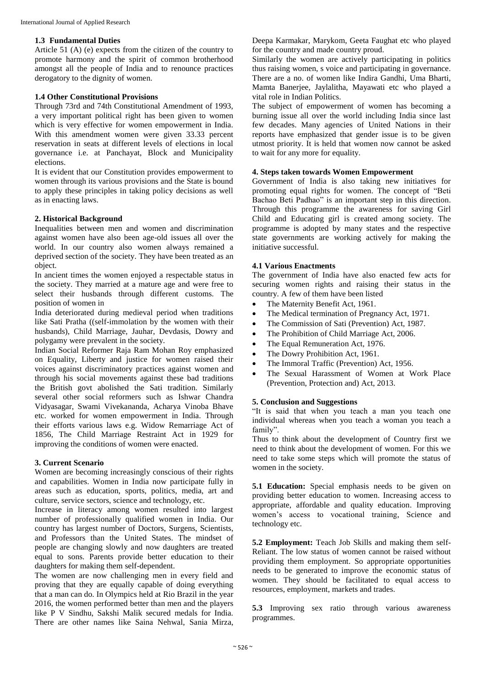## **1.3 Fundamental Duties**

Article 51 (A) (e) expects from the citizen of the country to promote harmony and the spirit of common brotherhood amongst all the people of India and to renounce practices derogatory to the dignity of women.

# **1.4 Other Constitutional Provisions**

Through 73rd and 74th Constitutional Amendment of 1993, a very important political right has been given to women which is very effective for women empowerment in India. With this amendment women were given 33.33 percent reservation in seats at different levels of elections in local governance i.e. at Panchayat, Block and Municipality elections.

It is evident that our Constitution provides empowerment to women through its various provisions and the State is bound to apply these principles in taking policy decisions as well as in enacting laws.

## **2. Historical Background**

Inequalities between men and women and discrimination against women have also been age-old issues all over the world. In our country also women always remained a deprived section of the society. They have been treated as an object.

In ancient times the women enjoyed a respectable status in the society. They married at a mature age and were free to select their husbands through different customs. The position of women in

India deteriorated during medieval period when traditions like Sati Pratha ((self-immolation by the women with their husbands), Child Marriage, Jauhar, Devdasis, Dowry and polygamy were prevalent in the society.

Indian Social Reformer Raja Ram Mohan Roy emphasized on Equality, Liberty and justice for women raised their voices against discriminatory practices against women and through his social movements against these bad traditions the British govt abolished the Sati tradition. Similarly several other social reformers such as Ishwar Chandra Vidyasagar, Swami Vivekananda, Acharya Vinoba Bhave etc. worked for women empowerment in India. Through their efforts various laws e.g. Widow Remarriage Act of 1856, The Child Marriage Restraint Act in 1929 for improving the conditions of women were enacted.

## **3. Current Scenario**

Women are becoming increasingly conscious of their rights and capabilities. Women in India now participate fully in areas such as education, sports, politics, media, art and culture, service sectors, science and technology, etc.

Increase in literacy among women resulted into largest number of professionally qualified women in India. Our country has largest number of Doctors, Surgens, Scientists, and Professors than the United States. The mindset of people are changing slowly and now daughters are treated equal to sons. Parents provide better education to their daughters for making them self-dependent.

The women are now challenging men in every field and proving that they are equally capable of doing everything that a man can do. In Olympics held at Rio Brazil in the year 2016, the women performed better than men and the players like P V Sindhu, Sakshi Malik secured medals for India. There are other names like Saina Nehwal, Sania Mirza, Deepa Karmakar, Marykom, Geeta Faughat etc who played for the country and made country proud.

Similarly the women are actively participating in politics thus raising women, s voice and participating in governance. There are a no. of women like Indira Gandhi, Uma Bharti, Mamta Banerjee, Jaylalitha, Mayawati etc who played a vital role in Indian Politics.

The subject of empowerment of women has becoming a burning issue all over the world including India since last few decades. Many agencies of United Nations in their reports have emphasized that gender issue is to be given utmost priority. It is held that women now cannot be asked to wait for any more for equality.

## **4. Steps taken towards Women Empowerment**

Government of India is also taking new initiatives for promoting equal rights for women. The concept of "Beti Bachao Beti Padhao" is an important step in this direction. Through this programme the awareness for saving Girl Child and Educating girl is created among society. The programme is adopted by many states and the respective state governments are working actively for making the initiative successful.

## **4.1 Various Enactments**

The government of India have also enacted few acts for securing women rights and raising their status in the country. A few of them have been listed

- The Maternity Benefit Act, 1961.
- The Medical termination of Pregnancy Act, 1971.
- The Commission of Sati (Prevention) Act, 1987.
- The Prohibition of Child Marriage Act, 2006.
- The Equal Remuneration Act, 1976.
- The Dowry Prohibition Act, 1961.
- The Immoral Traffic (Prevention) Act, 1956.
- The Sexual Harassment of Women at Work Place (Prevention, Protection and) Act, 2013.

#### **5. Conclusion and Suggestions**

"It is said that when you teach a man you teach one individual whereas when you teach a woman you teach a family".

Thus to think about the development of Country first we need to think about the development of women. For this we need to take some steps which will promote the status of women in the society.

**5.1 Education:** Special emphasis needs to be given on providing better education to women. Increasing access to appropriate, affordable and quality education. Improving women's access to vocational training. Science and technology etc.

**5.2 Employment:** Teach Job Skills and making them self-Reliant. The low status of women cannot be raised without providing them employment. So appropriate opportunities needs to be generated to improve the economic status of women. They should be facilitated to equal access to resources, employment, markets and trades.

**5.3** Improving sex ratio through various awareness programmes.